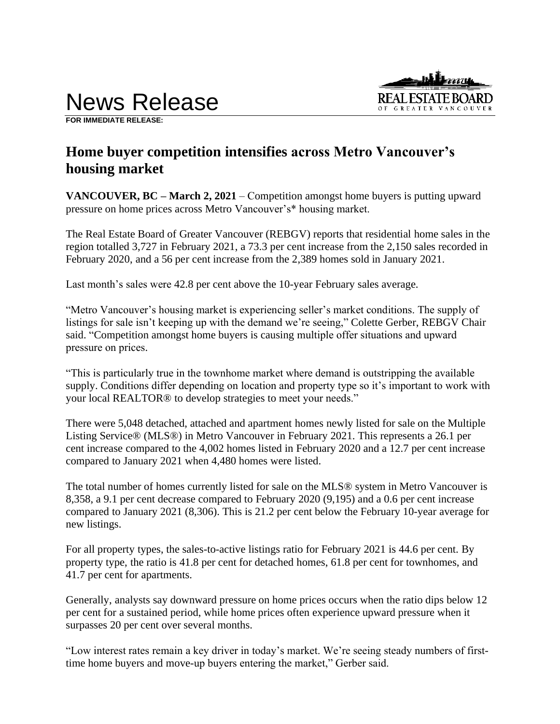

**FOR IMMEDIATE RELEASE:** 

# **Home buyer competition intensifies across Metro Vancouver's housing market**

**VANCOUVER, BC – March 2, 2021** – Competition amongst home buyers is putting upward pressure on home prices across Metro Vancouver's\* housing market.

The Real Estate Board of Greater Vancouver (REBGV) reports that residential home sales in the region totalled 3,727 in February 2021, a 73.3 per cent increase from the 2,150 sales recorded in February 2020, and a 56 per cent increase from the 2,389 homes sold in January 2021.

Last month's sales were 42.8 per cent above the 10-year February sales average.

"Metro Vancouver's housing market is experiencing seller's market conditions. The supply of listings for sale isn't keeping up with the demand we're seeing," Colette Gerber, REBGV Chair said. "Competition amongst home buyers is causing multiple offer situations and upward pressure on prices.

"This is particularly true in the townhome market where demand is outstripping the available supply. Conditions differ depending on location and property type so it's important to work with your local REALTOR® to develop strategies to meet your needs."

There were 5,048 detached, attached and apartment homes newly listed for sale on the Multiple Listing Service® (MLS®) in Metro Vancouver in February 2021. This represents a 26.1 per cent increase compared to the 4,002 homes listed in February 2020 and a 12.7 per cent increase compared to January 2021 when 4,480 homes were listed.

The total number of homes currently listed for sale on the MLS® system in Metro Vancouver is 8,358, a 9.1 per cent decrease compared to February 2020 (9,195) and a 0.6 per cent increase compared to January 2021 (8,306). This is 21.2 per cent below the February 10-year average for new listings.

For all property types, the sales-to-active listings ratio for February 2021 is 44.6 per cent. By property type, the ratio is 41.8 per cent for detached homes, 61.8 per cent for townhomes, and 41.7 per cent for apartments.

Generally, analysts say downward pressure on home prices occurs when the ratio dips below 12 per cent for a sustained period, while home prices often experience upward pressure when it surpasses 20 per cent over several months.

"Low interest rates remain a key driver in today's market. We're seeing steady numbers of firsttime home buyers and move-up buyers entering the market," Gerber said.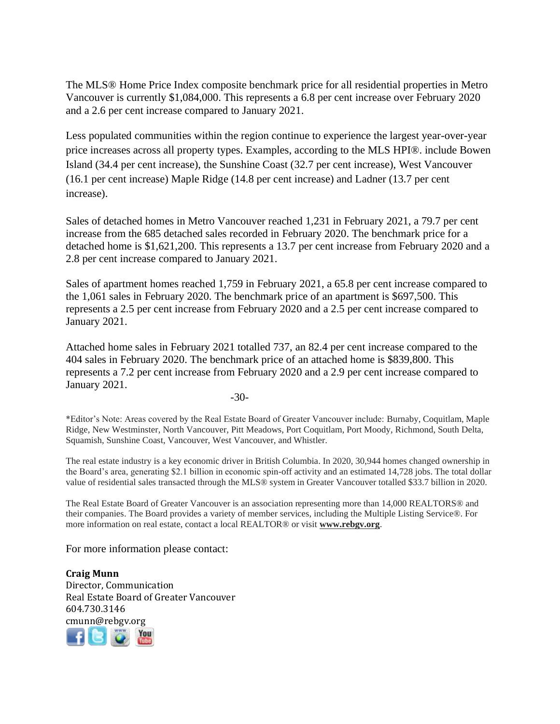The MLS® Home Price Index composite benchmark price for all residential properties in Metro Vancouver is currently \$1,084,000. This represents a 6.8 per cent increase over February 2020 and a 2.6 per cent increase compared to January 2021.

Less populated communities within the region continue to experience the largest year-over-year price increases across all property types. Examples, according to the MLS HPI®. include Bowen Island (34.4 per cent increase), the Sunshine Coast (32.7 per cent increase), West Vancouver (16.1 per cent increase) Maple Ridge (14.8 per cent increase) and Ladner (13.7 per cent increase).

Sales of detached homes in Metro Vancouver reached 1,231 in February 2021, a 79.7 per cent increase from the 685 detached sales recorded in February 2020. The benchmark price for a detached home is \$1,621,200. This represents a 13.7 per cent increase from February 2020 and a 2.8 per cent increase compared to January 2021.

Sales of apartment homes reached 1,759 in February 2021, a 65.8 per cent increase compared to the 1,061 sales in February 2020. The benchmark price of an apartment is \$697,500. This represents a 2.5 per cent increase from February 2020 and a 2.5 per cent increase compared to January 2021.

Attached home sales in February 2021 totalled 737, an 82.4 per cent increase compared to the 404 sales in February 2020. The benchmark price of an attached home is \$839,800. This represents a 7.2 per cent increase from February 2020 and a 2.9 per cent increase compared to January 2021.

-30-

\*Editor's Note: Areas covered by the Real Estate Board of Greater Vancouver include: Burnaby, Coquitlam, Maple Ridge, New Westminster, North Vancouver, Pitt Meadows, Port Coquitlam, Port Moody, Richmond, South Delta, Squamish, Sunshine Coast, Vancouver, West Vancouver, and Whistler.

The real estate industry is a key economic driver in British Columbia. In 2020, 30,944 homes changed ownership in the Board's area, generating \$2.1 billion in economic spin-off activity and an estimated 14,728 jobs. The total dollar value of residential sales transacted through the MLS® system in Greater Vancouver totalled \$33.7 billion in 2020.

The Real Estate Board of Greater Vancouver is an association representing more than 14,000 REALTORS® and their companies. The Board provides a variety of member services, including the Multiple Listing Service®. For more information on real estate, contact a local REALTOR® or visit **www.rebgv.org**.

For more information please contact:

**Craig Munn** Director, Communication Real Estate Board of Greater Vancouver 604.730.3146 cmunn@rebgv.org

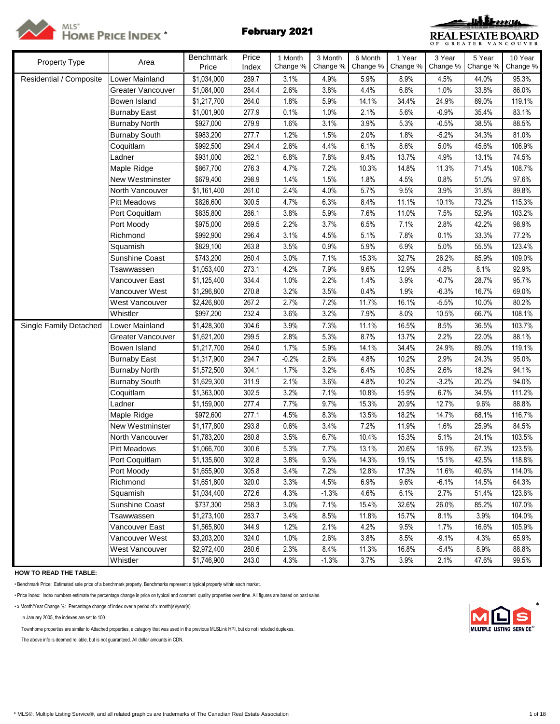



| Property Type           | Area                                | Benchmark<br>Price         | Price<br>Index | 1 Month<br>Change % | 3 Month<br>Change % | 6 Month<br>Change % | 1 Year<br>Change % | 3 Year<br>Change % | 5 Year<br>Change % | 10 Year<br>Change % |
|-------------------------|-------------------------------------|----------------------------|----------------|---------------------|---------------------|---------------------|--------------------|--------------------|--------------------|---------------------|
|                         |                                     |                            |                |                     |                     |                     |                    |                    |                    |                     |
| Residential / Composite | Lower Mainland<br>Greater Vancouver | \$1,034,000<br>\$1,084,000 | 289.7<br>284.4 | 3.1%<br>2.6%        | 4.9%<br>3.8%        | 5.9%<br>4.4%        | 8.9%<br>6.8%       | 4.5%<br>1.0%       | 44.0%<br>33.8%     | 95.3%<br>86.0%      |
|                         | Bowen Island                        | \$1,217,700                | 264.0          | 1.8%                | 5.9%                | 14.1%               | 34.4%              | 24.9%              | 89.0%              | 119.1%              |
|                         | <b>Burnaby East</b>                 | \$1,001,900                | 277.9          | 0.1%                | 1.0%                | 2.1%                | 5.6%               | $-0.9%$            | 35.4%              | 83.1%               |
|                         | <b>Burnaby North</b>                | \$927,000                  | 279.9          | 1.6%                | 3.1%                | 3.9%                | 5.3%               | $-0.5%$            | 38.5%              | 88.5%               |
|                         | <b>Burnaby South</b>                | \$983,200                  | 277.7          | 1.2%                | 1.5%                | 2.0%                | 1.8%               | $-5.2%$            | 34.3%              | 81.0%               |
|                         | Coquitlam                           | \$992,500                  | 294.4          | 2.6%                | 4.4%                | 6.1%                | 8.6%               | 5.0%               | 45.6%              | 106.9%              |
|                         | Ladner                              | \$931,000                  | 262.1          | 6.8%                | 7.8%                | 9.4%                | 13.7%              | 4.9%               | 13.1%              | 74.5%               |
|                         | Maple Ridge                         | \$867,700                  | 276.3          | 4.7%                | 7.2%                | 10.3%               | 14.8%              | 11.3%              | 71.4%              | 108.7%              |
|                         | New Westminster                     | \$679,400                  | 298.9          | 1.4%                | 1.5%                | 1.8%                | 4.5%               | 0.8%               | 51.0%              | 97.6%               |
|                         | North Vancouver                     |                            | 261.0          | 2.4%                | 4.0%                | 5.7%                | 9.5%               | 3.9%               | 31.8%              | 89.8%               |
|                         | <b>Pitt Meadows</b>                 | \$1,161,400                | 300.5          | 4.7%                | 6.3%                | 8.4%                | 11.1%              | 10.1%              | 73.2%              | 115.3%              |
|                         |                                     | \$826,600                  | 286.1          | 3.8%                | 5.9%                | 7.6%                | 11.0%              | 7.5%               | 52.9%              | 103.2%              |
|                         | Port Coquitlam                      | \$835,800                  |                | 2.2%                | 3.7%                | 6.5%                | 7.1%               | 2.8%               | 42.2%              | 98.9%               |
|                         | Port Moody<br>Richmond              | \$975,000<br>\$992,900     | 269.5<br>296.4 | 3.1%                | 4.5%                | 5.1%                | 7.8%               | 0.1%               | 33.3%              | 77.2%               |
|                         | Squamish                            | \$829,100                  | 263.8          | 3.5%                | 0.9%                | 5.9%                | 6.9%               | 5.0%               | 55.5%              | 123.4%              |
|                         | Sunshine Coast                      | \$743,200                  | 260.4          | 3.0%                | 7.1%                | 15.3%               | 32.7%              | 26.2%              | 85.9%              | 109.0%              |
|                         | Tsawwassen                          | \$1,053,400                | 273.1          | 4.2%                | 7.9%                | 9.6%                | 12.9%              | 4.8%               | 8.1%               | 92.9%               |
|                         | Vancouver East                      |                            | 334.4          | 1.0%                | 2.2%                | 1.4%                |                    |                    | 28.7%              | 95.7%               |
|                         | Vancouver West                      | \$1,125,400<br>\$1,296,800 | 270.8          | 3.2%                | 3.5%                | 0.4%                | 3.9%<br>1.9%       | $-0.7%$<br>$-6.3%$ | 16.7%              | 69.0%               |
|                         |                                     |                            | 267.2          | 2.7%                |                     | 11.7%               |                    |                    |                    | 80.2%               |
|                         | West Vancouver<br>Whistler          | \$2,426,800<br>\$997,200   | 232.4          | 3.6%                | 7.2%<br>3.2%        | 7.9%                | 16.1%<br>8.0%      | $-5.5%$<br>10.5%   | 10.0%<br>66.7%     | 108.1%              |
|                         |                                     |                            |                |                     |                     |                     |                    |                    |                    |                     |
| Single Family Detached  | Lower Mainland<br>Greater Vancouver | \$1,428,300                | 304.6<br>299.5 | 3.9%<br>2.8%        | 7.3%<br>5.3%        | 11.1%<br>8.7%       | 16.5%<br>13.7%     | 8.5%<br>2.2%       | 36.5%<br>22.0%     | 103.7%<br>88.1%     |
|                         |                                     | \$1,621,200                | 264.0          | 1.7%                | 5.9%                | 14.1%               | 34.4%              | 24.9%              |                    | 119.1%              |
|                         | Bowen Island                        | \$1,217,700                | 294.7          | $-0.2%$             | 2.6%                | 4.8%                | 10.2%              | 2.9%               | 89.0%<br>24.3%     | 95.0%               |
|                         | <b>Burnaby East</b>                 | \$1,317,900                |                |                     |                     |                     |                    |                    |                    |                     |
|                         | <b>Burnaby North</b>                | \$1,572,500                | 304.1          | 1.7%                | 3.2%                | 6.4%                | 10.8%              | 2.6%               | 18.2%              | 94.1%               |
|                         | <b>Burnaby South</b><br>Coquitlam   | \$1,629,300<br>\$1,363,000 | 311.9<br>302.5 | 2.1%<br>3.2%        | 3.6%<br>7.1%        | 4.8%<br>10.8%       | 10.2%<br>15.9%     | $-3.2%$<br>6.7%    | 20.2%<br>34.5%     | 94.0%<br>111.2%     |
|                         | Ladner                              |                            | 277.4          | 7.7%                |                     |                     | 20.9%              | 12.7%              | 9.6%               | 88.8%               |
|                         |                                     | \$1,159,000                | 277.1          | 4.5%                | 9.7%                | 15.3%               |                    |                    |                    | 116.7%              |
|                         | Maple Ridge<br>New Westminster      | \$972,600<br>\$1,177,800   | 293.8          | 0.6%                | 8.3%<br>3.4%        | 13.5%<br>7.2%       | 18.2%<br>11.9%     | 14.7%<br>1.6%      | 68.1%<br>25.9%     | 84.5%               |
|                         | North Vancouver                     |                            | 280.8          | 3.5%                | 6.7%                | 10.4%               | 15.3%              | 5.1%               | 24.1%              | 103.5%              |
|                         | <b>Pitt Meadows</b>                 | \$1,783,200<br>\$1,066,700 | 300.6          | 5.3%                | 7.7%                | 13.1%               | 20.6%              | 16.9%              | 67.3%              | 123.5%              |
|                         |                                     |                            | 302.8          | 3.8%                | 9.3%                | 14.3%               | 19.1%              | 15.1%              | 42.5%              | 118.8%              |
|                         | Port Coquitlam<br>Port Moody        | \$1,135,600<br>\$1,655,900 | 305.8          | 3.4%                | 7.2%                | 12.8%               | 17.3%              | 11.6%              | 40.6%              | 114.0%              |
|                         | Richmond                            | \$1,651,800                | 320.0          | 3.3%                | 4.5%                | 6.9%                | 9.6%               | $-6.1%$            | 14.5%              | 64.3%               |
|                         | Squamish                            | \$1,034,400                | 272.6          | 4.3%                | $-1.3%$             | 4.6%                | 6.1%               | 2.7%               | 51.4%              | 123.6%              |
|                         | Sunshine Coast                      | \$737,300                  | 258.3          | 3.0%                | 7.1%                | 15.4%               | 32.6%              | 26.0%              | 85.2%              | 107.0%              |
|                         | Tsawwassen                          | \$1,273,100                | 283.7          | 3.4%                | 8.5%                | 11.8%               | 15.7%              | 8.1%               | 3.9%               | 104.0%              |
|                         | Vancouver East                      | \$1,565,800                | 344.9          | 1.2%                | 2.1%                | 4.2%                | 9.5%               | 1.7%               | 16.6%              | 105.9%              |
|                         | Vancouver West                      | \$3,203,200                | 324.0          | 1.0%                | 2.6%                | 3.8%                | 8.5%               | $-9.1%$            | 4.3%               | 65.9%               |
|                         |                                     |                            |                |                     |                     |                     |                    |                    |                    |                     |
|                         | West Vancouver                      | \$2,972,400                | 280.6          | 2.3%                | 8.4%                | 11.3%               | 16.8%              | $-5.4%$            | 8.9%               | 88.8%               |
|                         | Whistler                            | \$1,746,900                | 243.0          | 4.3%                | $-1.3%$             | 3.7%                | 3.9%               | 2.1%               | 47.6%              | 99.5%               |

**HOW TO READ THE TABLE:**

• Benchmark Price: Estimated sale price of a benchmark property. Benchmarks represent a typical property within each market.

• Price Index: Index numbers estimate the percentage change in price on typical and constant quality properties over time. All figures are based on past sales.

• x Month/Year Change %: Percentage change of index over a period of x month(s)/year(s) \*

In January 2005, the indexes are set to 100.

Townhome properties are similar to Attached properties, a category that was used in the previous MLSLink HPI, but do not included duplexes.

The above info is deemed reliable, but is not guaranteed. All dollar amounts in CDN.

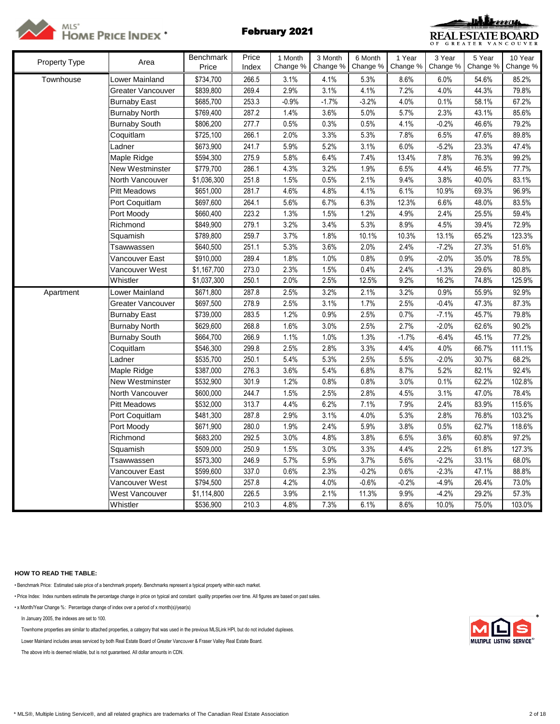



| Property Type | Area                 | <b>Benchmark</b> | Price | 1 Month  | 3 Month  | 6 Month  | 1 Year   | 3 Year   | 5 Year   | 10 Year  |
|---------------|----------------------|------------------|-------|----------|----------|----------|----------|----------|----------|----------|
|               |                      | Price            | Index | Change % | Change % | Change % | Change % | Change % | Change % | Change % |
| Townhouse     | Lower Mainland       | \$734,700        | 266.5 | 3.1%     | 4.1%     | 5.3%     | 8.6%     | 6.0%     | 54.6%    | 85.2%    |
|               | Greater Vancouver    | \$839,800        | 269.4 | 2.9%     | 3.1%     | 4.1%     | 7.2%     | 4.0%     | 44.3%    | 79.8%    |
|               | Burnaby East         | \$685,700        | 253.3 | $-0.9%$  | $-1.7%$  | $-3.2%$  | 4.0%     | 0.1%     | 58.1%    | 67.2%    |
|               | <b>Burnaby North</b> | \$769,400        | 287.2 | 1.4%     | 3.6%     | 5.0%     | 5.7%     | 2.3%     | 43.1%    | 85.6%    |
|               | <b>Burnaby South</b> | \$806,200        | 277.7 | 0.5%     | 0.3%     | 0.5%     | 4.1%     | $-0.2%$  | 46.6%    | 79.2%    |
|               | Coquitlam            | \$725,100        | 266.1 | 2.0%     | 3.3%     | 5.3%     | 7.8%     | 6.5%     | 47.6%    | 89.8%    |
|               | Ladner               | \$673,900        | 241.7 | 5.9%     | 5.2%     | 3.1%     | 6.0%     | $-5.2%$  | 23.3%    | 47.4%    |
|               | Maple Ridge          | \$594,300        | 275.9 | 5.8%     | 6.4%     | 7.4%     | 13.4%    | 7.8%     | 76.3%    | 99.2%    |
|               | New Westminster      | \$779,700        | 286.1 | 4.3%     | 3.2%     | 1.9%     | 6.5%     | 4.4%     | 46.5%    | 77.7%    |
|               | North Vancouver      | \$1,036,300      | 251.8 | 1.5%     | 0.5%     | 2.1%     | 9.4%     | 3.8%     | 40.0%    | 83.1%    |
|               | <b>Pitt Meadows</b>  | \$651,000        | 281.7 | 4.6%     | 4.8%     | 4.1%     | 6.1%     | 10.9%    | 69.3%    | 96.9%    |
|               | Port Coquitlam       | \$697,600        | 264.1 | 5.6%     | 6.7%     | 6.3%     | 12.3%    | 6.6%     | 48.0%    | 83.5%    |
|               | Port Moody           | \$660,400        | 223.2 | 1.3%     | 1.5%     | 1.2%     | 4.9%     | 2.4%     | 25.5%    | 59.4%    |
|               | Richmond             | \$849,900        | 279.1 | 3.2%     | 3.4%     | 5.3%     | 8.9%     | 4.5%     | 39.4%    | 72.9%    |
|               | Squamish             | \$789,800        | 259.7 | 3.7%     | 1.8%     | 10.1%    | 10.3%    | 13.1%    | 65.2%    | 123.3%   |
|               | Tsawwassen           | \$640,500        | 251.1 | 5.3%     | 3.6%     | 2.0%     | 2.4%     | $-7.2%$  | 27.3%    | 51.6%    |
|               | √ancouver East       | \$910,000        | 289.4 | 1.8%     | 1.0%     | 0.8%     | 0.9%     | $-2.0%$  | 35.0%    | 78.5%    |
|               | Vancouver West       | \$1,167,700      | 273.0 | 2.3%     | 1.5%     | 0.4%     | 2.4%     | $-1.3%$  | 29.6%    | 80.8%    |
|               | Whistler             | \$1,037,300      | 250.1 | 2.0%     | 2.5%     | 12.5%    | 9.2%     | 16.2%    | 74.8%    | 125.9%   |
| Apartment     | _ower Mainland       | \$671,800        | 287.8 | 2.5%     | 3.2%     | 2.1%     | 3.2%     | 0.9%     | 55.9%    | 92.9%    |
|               | Greater Vancouver    | \$697,500        | 278.9 | 2.5%     | 3.1%     | 1.7%     | 2.5%     | $-0.4%$  | 47.3%    | 87.3%    |
|               | <b>Burnaby East</b>  | \$739,000        | 283.5 | 1.2%     | 0.9%     | 2.5%     | 0.7%     | $-7.1%$  | 45.7%    | 79.8%    |
|               | <b>Burnaby North</b> | \$629,600        | 268.8 | 1.6%     | 3.0%     | 2.5%     | 2.7%     | $-2.0%$  | 62.6%    | 90.2%    |
|               | <b>Burnaby South</b> | \$664,700        | 266.9 | 1.1%     | 1.0%     | 1.3%     | $-1.7%$  | $-6.4%$  | 45.1%    | 77.2%    |
|               | Coquitlam            | \$546,300        | 299.8 | 2.5%     | 2.8%     | 3.3%     | 4.4%     | 4.0%     | 66.7%    | 111.1%   |
|               | Ladner               | \$535,700        | 250.1 | 5.4%     | 5.3%     | 2.5%     | 5.5%     | $-2.0%$  | 30.7%    | 68.2%    |
|               | Maple Ridge          | \$387,000        | 276.3 | 3.6%     | 5.4%     | 6.8%     | 8.7%     | 5.2%     | 82.1%    | 92.4%    |
|               | New Westminster      | \$532,900        | 301.9 | 1.2%     | 0.8%     | 0.8%     | 3.0%     | 0.1%     | 62.2%    | 102.8%   |
|               | North Vancouver      | \$600,000        | 244.7 | 1.5%     | 2.5%     | 2.8%     | 4.5%     | 3.1%     | 47.0%    | 78.4%    |
|               | <b>Pitt Meadows</b>  | \$532,000        | 313.7 | 4.4%     | 6.2%     | 7.1%     | 7.9%     | 2.4%     | 83.9%    | 115.6%   |
|               | Port Coquitlam       | \$481,300        | 287.8 | 2.9%     | 3.1%     | 4.0%     | 5.3%     | 2.8%     | 76.8%    | 103.2%   |
|               | Port Moody           | \$671,900        | 280.0 | 1.9%     | 2.4%     | 5.9%     | 3.8%     | 0.5%     | 62.7%    | 118.6%   |
|               | Richmond             | \$683,200        | 292.5 | 3.0%     | 4.8%     | 3.8%     | 6.5%     | 3.6%     | 60.8%    | 97.2%    |
|               | Squamish             | \$509,000        | 250.9 | 1.5%     | 3.0%     | 3.3%     | 4.4%     | 2.2%     | 61.8%    | 127.3%   |
|               | Tsawwassen           | \$573,300        | 246.9 | 5.7%     | 5.9%     | 3.7%     | 5.6%     | $-2.2%$  | 33.1%    | 68.0%    |
|               | Vancouver East       | \$599,600        | 337.0 | 0.6%     | 2.3%     | $-0.2%$  | 0.6%     | $-2.3%$  | 47.1%    | 88.8%    |
|               | Vancouver West       | \$794,500        | 257.8 | 4.2%     | 4.0%     | $-0.6%$  | $-0.2%$  | $-4.9%$  | 26.4%    | 73.0%    |
|               | West Vancouver       | \$1,114,800      | 226.5 | 3.9%     | 2.1%     | 11.3%    | 9.9%     | $-4.2%$  | 29.2%    | 57.3%    |
|               | Whistler             | \$536,900        | 210.3 | 4.8%     | 7.3%     | 6.1%     | 8.6%     | 10.0%    | 75.0%    | 103.0%   |

# **HOW TO READ THE TABLE:**

• Benchmark Price: Estimated sale price of a benchmark property. Benchmarks represent a typical property within each market.

• Price Index: Index numbers estimate the percentage change in price on typical and constant quality properties over time. All figures are based on past sales.

• x Month/Year Change %: Percentage change of index over a period of x month(s)/year(s)

In January 2005, the indexes are set to 100. \*

Townhome properties are similar to attached properties, a category that was used in the previous MLSLink HPI, but do not included duplexes.

Lower Mainland includes areas serviced by both Real Estate Board of Greater Vancouver & Fraser Valley Real Estate Board.

The above info is deemed reliable, but is not guaranteed. All dollar amounts in CDN.

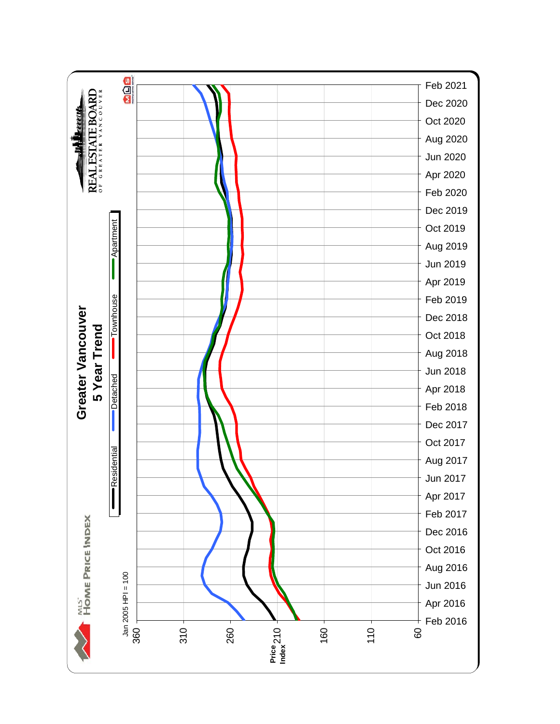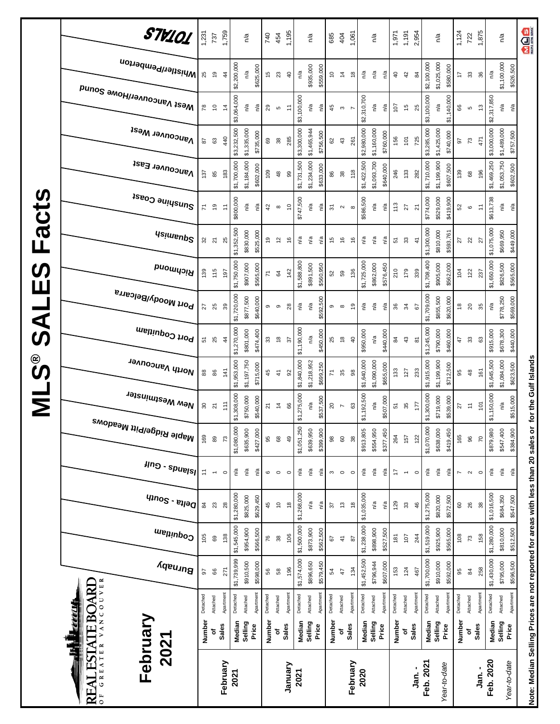|                       | STV101<br>i <sup>Whistler/Pemberton</sup><br>Mest Vancouver/Howe Sound<br><b>Vancouver West</b> | 1,231<br>25<br>78<br>58 | 737<br>$\overline{6}$<br>$\overline{\phantom{0}}$<br>යි | 1,759<br>4<br>$\dot{4}$<br>440 | \$2,200,000<br>\$3,064,000<br>\$3,232,500 | n/a<br>n/a<br>n/a<br>\$1,335,000 | \$625,000<br>n/a<br>\$735,000 | 740<br>45<br>$_{29}$<br>69 | 454<br>23<br>Ю<br>38         | 1,195<br>$\overline{4}$<br>$\tilde{t}$<br>285 | n/a<br>\$3,100,000<br>\$3,300,000 | n/a<br>\$935,000<br>n/a<br>\$1,465,944 | \$559,000<br>n/a<br>\$756,500 | 685<br>$\tilde{c}$<br>45<br>62               | 404<br>$\frac{1}{4}$<br>$\boldsymbol{\upsigma}$<br>$43\,$ | 1,061<br>$\frac{8}{3}$<br>261 | n/a<br>\$2,310,700<br>\$2,980,000    | n/a<br>n/a<br>n/a<br>\$1,160,000 | n/a<br>n/a<br>\$760,000 | 1,971<br>$\overline{a}$<br>107<br>156 | 1,191<br>42<br>$\frac{6}{7}$<br>101 | 2,954<br>$\mathfrak{A}$<br>25<br>725 | \$2,100,000<br>\$3,100,000<br>\$3,285,000 | n/a<br>\$1,025,000<br>\$580,000<br>\$1,140,000<br>n/a<br>\$1,425,000<br>\$740,000 | 1,124<br>$\overline{1}$<br>66<br>5 | 722<br>$33\,$<br>LO<br>73     | 1,875<br>36<br>$\frac{3}{2}$<br>471 | n/a<br>\$2,317,850<br>\$3,000,000 | n/a<br>\$1,100,000<br>\$526,500<br>n/a<br>n/a<br>\$1,489,000<br>\$757,500    |
|-----------------------|-------------------------------------------------------------------------------------------------|-------------------------|---------------------------------------------------------|--------------------------------|-------------------------------------------|----------------------------------|-------------------------------|----------------------------|------------------------------|-----------------------------------------------|-----------------------------------|----------------------------------------|-------------------------------|----------------------------------------------|-----------------------------------------------------------|-------------------------------|--------------------------------------|----------------------------------|-------------------------|---------------------------------------|-------------------------------------|--------------------------------------|-------------------------------------------|-----------------------------------------------------------------------------------|------------------------------------|-------------------------------|-------------------------------------|-----------------------------------|------------------------------------------------------------------------------|
| $\boldsymbol{\omega}$ | Vancouver East                                                                                  | 137                     | 85                                                      | 183                            | \$1,700,000                               | \$1,184,000                      | \$602,000                     | 109                        | 48                           | 99                                            | \$1,731,500                       | \$1,234,000                            | \$633,000                     | 86                                           | $38$                                                      | 118                           | \$1,422,500                          | \$1,093,700                      | \$640,000               | 246                                   | 133                                 | 282                                  | \$1,710,000                               | \$1,199,900<br>\$607,500                                                          | 139                                | 68                            | 196                                 | \$1,469,250                       | \$1,053,750<br>\$602,500                                                     |
| Fact                  | Sunshine Coast<br><b>Usimenp<sup>2</sup></b>                                                    | 71<br>೫                 | é,<br>$\overline{2}1$                                   | $\ddot{ }$<br>25               | \$800,000<br>\$1,352,500                  | n/a<br>\$830,000                 | ηã<br>\$525,000               | $\sqrt{4}$<br>Ő,           | $\infty$<br>51               | $\tilde{c}$<br>$\frac{6}{5}$                  | \$747,500<br>n/a                  | n/a<br>n/a                             | n <sup>/a</sup><br>n/a        | $\overline{5}$<br>15                         | $\sim$<br>$\frac{6}{5}$                                   | $\infty$<br>$\frac{6}{5}$     | \$586,500<br>n/a                     | ηá<br>n/a                        | n/a<br>n/a              | 113<br>51                             | 27<br>33                            | $\overline{2}$<br>$\frac{4}{3}$      | \$774,000<br>\$1,300,000                  | \$529,000<br>\$419,900<br>\$810,000<br>\$593,761                                  | 52<br>27                           | $\mathbf  \circ$<br>$\approx$ | $\tilde{t}$<br>27                   | \$613,738<br>\$1,075,000          | n/a<br>ηã<br>\$669,950<br>\$449,000                                          |
| <b>SV</b><br>Ш        | Richmond<br>Port Moody/Belcarra                                                                 | 139                     | 115                                                     | 197                            | \$1,750,000                               | \$907,000                        | \$565,000                     | $\overline{z}$             | 64<br>თ                      | 142                                           | \$1,588,800                       | \$891,500                              | \$560,950                     | 52                                           | 59<br>$\infty$                                            | 136<br>$\overline{9}$         | \$1,725,000                          | \$862,000                        | \$576,450               | 210                                   | 179                                 | 339                                  | \$1,708,400                               | \$905,000<br>\$562,000                                                            | 104<br>$\frac{8}{2}$               | 122                           | 237                                 | \$1,650,000                       | \$826,500<br>\$565,000                                                       |
| $\overline{A}$<br>ၯ   | Port Coquitlam                                                                                  | 27<br>57                | 25<br>25                                                | 39<br>4                        | \$1,720,000<br>\$1,270,000                | \$877,500<br>\$801,000           | \$640,000<br>\$474,400        | 9<br>33                    | $\frac{8}{2}$                | 28<br>57                                      | n/a<br>\$1,190,000                | n/a<br>n/a                             | \$592,500<br>\$450,000        | თ<br>25                                      | $\frac{8}{2}$                                             | $\overline{a}$                | n/a<br>\$950,000                     | n/a<br>n/a                       | n/a<br>\$440,000        | 36<br>84                              | रू<br>$\sqrt{3}$                    | 5<br>$\overline{8}$                  | \$1,709,000<br>\$1,245,000                | \$855,500<br>\$620,000<br>\$790,000<br>\$460,000                                  | 47                                 | $20\,$<br>$33\,$              | 35<br>යි                            | n/a<br>\$915,000                  | \$778,250<br>\$569,000<br>\$678,300<br>\$440,000                             |
| ို့<br>ဟ<br>Σ         | North Vancouver<br>New Westminster                                                              | 88<br>30                | 86<br>$\overline{2}$                                    | 141<br>111                     | \$1,953,000<br>\$1,308,000                | \$1,197,750<br>\$750,000         | \$715,000<br>\$540,000        | 45<br>21                   | $\ddot{4}$<br>$\overline{4}$ | $\Omega$<br>66                                | \$1,840,000<br>\$1,275,000        | \$1,218,952<br>n/a                     | \$699,250<br>\$537,500        | $\overline{r}$<br>$\boldsymbol{\mathcal{S}}$ | 35<br>$\overline{ }$                                      | $_{98}$<br>63                 | \$1,640,000<br>\$1,192,500           | \$1,090,000<br>n/a               | \$655,000<br>\$507,000  | 133<br>51                             | 127<br>35                           | 233<br>177                           | \$1,915,000<br>\$1,300,000                | \$1,199,900<br>\$712,500<br>\$719,000<br>\$539,000                                | 95<br>27                           | $48$<br>$\tilde{=}$           | 161<br>$\overline{5}$               | \$1,645,500<br>\$1,150,000        | \$1,084,000<br>\$623,500<br>\$515,000<br>n/a                                 |
|                       | <sup>Maple Ridge/Pitt Meadows</sup>                                                             | 169                     | $^{\circ}_{8}$                                          | 73                             | \$1,080,000                               | \$635,900                        | \$427,000                     | 95                         | 68                           | 49                                            | \$1,051,250                       | \$639,950                              | \$399,900                     | 98                                           | $\mbox{6}$                                                | $38\,$                        | \$913,805                            | \$554,950                        | \$377,450               | 264                                   | 157                                 | 122                                  | \$1,070,000                               | \$638,000<br>\$419,450                                                            | 165                                | 96                            | $\overline{z}$                      | \$879,980                         | \$547,400<br>\$384,900                                                       |
|                       | $\mu$ ng - spuelsl<br>$q_{10}$ elta - South                                                     | $\tilde{t}$<br>84       | $\overline{\phantom{a}}$<br>$23$                        | $\circ$<br>28                  | Ρá<br>\$1,280,000                         | n/a<br>\$825,000                 | ηá<br>\$629,450               | $\mathbf  \circ$<br>45     | $\circ$<br>$\overline{c}$    | $\circ$<br>$\overset{\circ}{\phantom{a}}$     | ρÅ<br>\$1,268,000                 | n/a<br>n/a                             | n/a<br>n/a                    | S<br>57                                      | $\circ$<br>$\frac{3}{2}$                                  | $\circ$<br>$\frac{8}{2}$      | $\mathbb{S}_{\Delta}$<br>\$1,035,000 | n/a<br>n/a                       | ηá<br>n/a               | 17<br>129                             | $\overline{\phantom{0}}$<br>33      | $\circ$<br>46                        | n/a<br>\$1,275,000                        | n/a<br>$\tilde{C}$<br>\$820,000<br>\$572,500                                      | $\overline{ }$<br>60               | $\boldsymbol{\sim}$<br>26     | $\circ$<br>38                       | Ρá<br>\$1,016,500                 | $\mathsf{n}^\mathsf{d}$<br>$\mathsf{r}^\mathsf{a}$<br>\$684,350<br>\$547,500 |
|                       | Coquitlam                                                                                       | 105                     | 89                                                      | 138                            | \$1,545,000                               | \$954,900                        | \$566,500                     | 76                         | $\boldsymbol{\mathcal{S}}$   | 106                                           | \$1,500,000                       | \$873,900                              | \$562,500                     | 67                                           | $\frac{4}{3}$                                             | $\boldsymbol{\mathsf{S}}$     | \$1,238,000                          | \$898,900                        | \$527,500               | 181                                   | 107                                 | 244                                  | \$1,519,000                               | \$925,900<br>\$565,000                                                            | 108                                | $\boldsymbol{\mathcal{E}}$    | 158                                 | \$1,280,000                       | \$810,000<br>\$512,500                                                       |
|                       | Burnaby                                                                                         | 50<br>Detached          | 66<br>Attached                                          | 271<br>Apartment               | \$1,739,999<br>Detached                   | \$910,500                        | \$598,000<br>Apartment        | 56<br>Detached             | 58                           | 196<br>Apartment                              | \$1,574,000<br>Detached           | \$896,650                              | \$579,450<br>Apartment        | 54<br>Detached                               | 47                                                        | 134<br>Apartmen               | \$1,452,500<br>Detached              | \$796,944                        | \$607,000<br>Apartment  | 153<br>Detached                       | 124<br>Attached                     | 467<br>Apartment                     | \$1,700,000<br>Detached                   | \$910,000<br>\$592,000<br>Apartment<br>Attached                                   | 95<br>Detached                     | $\frac{8}{4}$                 | 258<br>Apartment                    | \$1,430,000<br>Detached           | \$795,000<br>\$596,500<br>Apartment                                          |
|                       | VANCOUVER<br>REAL ESTATE BOARI<br>February<br>Ę<br>2021                                         | Number                  | ō                                                       | Sales                          | Median                                    | Attached<br>Selling              | Price                         | Number                     | Attached<br>ō                | Sales                                         | Median                            | Attached<br>Selling                    | Price                         | Number                                       | Attached<br>٥                                             | <b>Sales</b>                  | Median                               | Attached<br>Selling              | Price                   | Number                                | Sales<br>ō                          |                                      | Median                                    | Selling<br>Price                                                                  | Number                             | Attached<br>ō                 | <b>Sales</b>                        | Median                            | Attached<br>Selling<br>Price                                                 |
|                       | GREATER<br>$\overline{0}$                                                                       |                         |                                                         | February                       | 2021                                      |                                  |                               |                            |                              | January                                       | 2021                              |                                        |                               |                                              |                                                           | February                      | 2020                                 |                                  |                         |                                       |                                     | Jan. -                               | Feb. 2021                                 | Year-to-date                                                                      |                                    |                               | .<br>Jan.                           | Feb. 2020                         | Year-to-date                                                                 |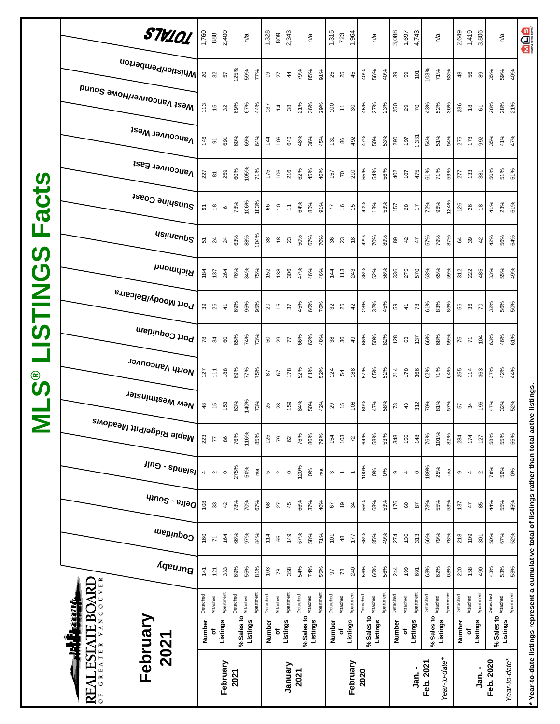| acts<br>ட<br><b>SD</b>              | <sub>Me2t</sub> <sub>N</sub> aucon∧enHome 2onuq<br><b>Vancouver West</b><br>Vancouver East<br>Sunshine Coast<br><b>Usimenp<sup>2</sup></b> | 113<br>146<br>227<br>5 | $\frac{5}{2}$<br>$\overline{\circ}$<br>$\overline{\mathbf{8}}$<br>$\overset{\circ}{=}$<br>$5\frac{1}{2}$ | 32<br>691<br>259<br>$\mathbf  \circ$<br>24 | 69%<br>60%<br>60%<br>78%<br>63% | 67%<br>69%<br>105%<br>106%<br>88%      | 44%<br>64%<br>71%<br>183%<br>104% | 137<br>144<br>175<br>66<br>$38\,$ | 38<br>$\tilde{z}$<br>106<br>106<br>216<br>$\tilde{\mathcal{L}}$<br>Ξ<br>$\overset{\circ}{\phantom{a}}$<br>23 | 21%<br>48%<br>640<br>62%<br>64%<br>50% | 36%<br>36%<br>45%<br>80%<br>67%      | 29%<br>45%<br>46%<br>91%<br>70% | $\overline{100}$<br>131<br>157<br>$\overline{z}$<br><b>36</b> 23 | $\overline{\tau}$<br>86<br>$\overline{70}$<br>$\frac{6}{5}$ | $30\,$<br>492<br>210<br>$\frac{15}{2}$<br>$\frac{8}{2}$ | 45%<br>47%<br>55%<br>40%<br>42%         | 27%<br>23%<br>50%<br>53%<br>54%<br>56%<br>13%<br>53%<br>70%<br>89% | 250<br>290<br>402<br>157<br>89 | 29<br>197<br>187<br>$28$<br>42   | $\overline{70}$<br>1,331<br>475<br>$\ddot{ }$<br>$\ddot{t}$ | 43%<br>54%<br>61%<br>72%<br>57% | 52%<br>51%<br>71%<br>96%<br>79%                  | 36%<br>236<br>54%<br>275<br>59%<br>277<br>124%<br>126<br>87% | $\frac{8}{2}$<br>178<br>133<br>26<br>64 39 | $\overline{6}$<br>992<br>381<br>$\overset{\circ}{\phantom{a}}$<br>42 | 28%<br>35%<br>50%<br>41%<br>42% | 28%<br>41%<br>51%<br>23%<br>56% | 21%<br>47%<br>51%<br>61%<br>64% |
|-------------------------------------|--------------------------------------------------------------------------------------------------------------------------------------------|------------------------|----------------------------------------------------------------------------------------------------------|--------------------------------------------|---------------------------------|----------------------------------------|-----------------------------------|-----------------------------------|--------------------------------------------------------------------------------------------------------------|----------------------------------------|--------------------------------------|---------------------------------|------------------------------------------------------------------|-------------------------------------------------------------|---------------------------------------------------------|-----------------------------------------|--------------------------------------------------------------------|--------------------------------|----------------------------------|-------------------------------------------------------------|---------------------------------|--------------------------------------------------|--------------------------------------------------------------|--------------------------------------------|----------------------------------------------------------------------|---------------------------------|---------------------------------|---------------------------------|
| $\boldsymbol{\sigma}$<br><b>NHS</b> | <b>PuowyoiA</b><br><sup>, Port Moody/Belcarra</sup><br>Port Coquitlam                                                                      | 184                    | 137<br>39 26                                                                                             | 264<br>$\frac{4}{3}$                       | 76%<br>69%                      | 84%<br>96%                             | 75%<br>95%                        | 152<br>$20\,$                     | 138<br>306<br>$\frac{6}{10}$<br>$\frac{2}{3}$                                                                | 47%<br>45%                             | 46%<br>60%                           | 46%<br>76%                      | $\frac{144}{1}$<br>32<br>25                                      | 113                                                         | 243<br>42                                               | 36%<br>28%                              | 52%<br>56%<br>32%<br>45%                                           | 336<br>59                      | 275<br>$\frac{4}{7}$             | 570<br>78                                                   | 63%<br>61%                      | 65%<br>83%                                       | 59%<br>312<br>86%                                            | 222<br>56<br>36                            | 485<br>$\overline{r}$                                                | 33%<br>32%                      | 55%<br>56%                      | 49%<br>50%                      |
| ၜ<br><u>5</u>                       | North Vancouver<br>New Westminster                                                                                                         | 127<br>48              | $78$ $34$<br>$\widetilde{\mathbb{H}}$<br>$\frac{5}{2}$                                                   | 60<br>188<br>153                           | 65%<br>69%<br>63%               | 74%<br>77%<br>140%                     | 73%<br>75%<br>73%                 | 50 29<br>$\sqrt{8}$<br>25         | 77<br>178<br>67<br>159<br>$\overline{28}$                                                                    | 66%<br>52%<br>84%                      | 62%<br>61%<br>50%                    | 48%<br>52%<br>42%               | <b>88</b> 88<br>124<br>29 15                                     | $\mathfrak{p}$                                              | $\overline{4}$<br>188<br>108                            | 66%<br>57%<br>69%                       | 50%<br>82%<br>65%<br>52%<br>47%<br>58%                             | 128<br>214<br>$\sqrt{2}$       | 63<br>178<br>$43\,$              | 137<br>366<br>312                                           | 66%<br>62%<br>70%               | 68%<br>71%<br>81%                                | 59%<br>64%<br>255<br>57%                                     | 75<br>14<br>57<br>34                       | 104<br>363<br>196                                                    | 63%<br>37%<br>47%               | 46%<br>42%<br>32%               | 61%<br>44%<br>52%               |
|                                     | , <sup>Maple Ridge/Pitt Meadows</sup><br>$\mu$ ng - spuelsl<br>$q_{100}$ s - $e_{1100}$                                                    | 223<br>4<br>108        | $\overline{7}$<br>$\sim$                                                                                 | 86<br>$\circ$                              | 76%<br>275%                     | 116%<br>50%                            | 85%<br>ρŅ                         | 125<br>$50 - 20$                  | 79<br>$\circ$                                                                                                | 76%<br>62<br>120%                      | 86%<br>0%                            | 79%<br>Ρá                       | 154<br>$\infty$ $\sim$                                           | 103                                                         | $\overline{r}$<br>$\leftarrow$                          | 64%<br>100%                             | 58%<br>53%<br>0%<br>0%                                             | 348<br>$\, \circ \,$<br>176    | 156<br>4                         | 148<br>$\circ$                                              | 76%<br>189%                     | 101%<br>25%                                      | 82%<br>284<br>ΡÅ                                             | 174<br>$\sigma$<br>$\overline{4}$          | 127<br>$\sim$                                                        | 58%<br>78%                      | 55%<br>50%                      | 55%<br>$\delta$                 |
|                                     | Coquitlam<br>Burnaby                                                                                                                       | 160<br>141             | $33\,$<br>$\overline{\kappa}$<br>121                                                                     | 42<br>164<br>333                           | 78%<br>66%<br>69%               | 70%<br>97%<br>55%                      | 67%<br>84%<br>81%                 | $^{\rm 68}$<br>114<br>103         | 27<br>149<br>65<br>358<br>$78$                                                                               | 66%<br>45<br>67%<br>54%                | 37%<br>58%<br>74%                    | 40%<br>71%<br>55%               | 67<br>$\overline{5}$<br>5                                        | $\overline{e}$<br>$\clubsuit$<br>78                         | 34<br>177<br>240                                        | 55%<br>66%<br>56%                       | 68%<br>53%<br>85%<br>49%<br>60%<br>56%                             | 274<br>244                     | $\pmb{\mathbb{S}}$<br>136<br>199 | $87$<br>313<br>691                                          | 73%<br>66%<br>63%               | 55%<br>79%<br>62%                                | 53%<br>137<br>78%<br>218<br>68%<br>220                       | 47<br>109<br>158                           | 85<br>301<br>490                                                     | 44%<br>50%<br>43%               | 55%<br>67%<br>53%               | 45%<br>52%<br>53%               |
|                                     | VANCOUVER<br><b>REAL ESTATE BOARD</b><br><u>my p</u><br>February<br>2021<br>GREATER                                                        | Detached<br>Number     | Attached<br>٥f                                                                                           | Apartment<br>Listings<br>February          | Detached<br>2021                | % Sales to <b>Attached</b><br>Listings | Apartment                         | Detached<br>Number                | Apartment<br>Attached<br>Listings<br>٥f<br>January                                                           | Detached<br>2021                       | Attached<br>$%$ Sales to<br>Listings | Apartment                       | Detached<br>Number                                               | Attached<br>đ                                               | Apartment<br>Listings<br>February                       | Detached<br>% Sales to Attached<br>2020 | Apartment<br>Listings                                              | Detached<br>Number             | Attached<br>৳                    | Apartment<br>Listings<br>Jan. -                             | Detached<br>Feb. 2021           | % Sales to Attached<br>Listings<br>Year-to-date* | Apartment<br>Detached                                        | Attached<br>Number                         | Apartment<br>Listings<br>-<br>កុ                                     | Detached<br>Feb. 2020           | % Sales to Attached<br>Listings | Apartment<br>Year-to-date*      |

**\* Year-to-date listings represent a cumulative total of listings rather than total active listings.**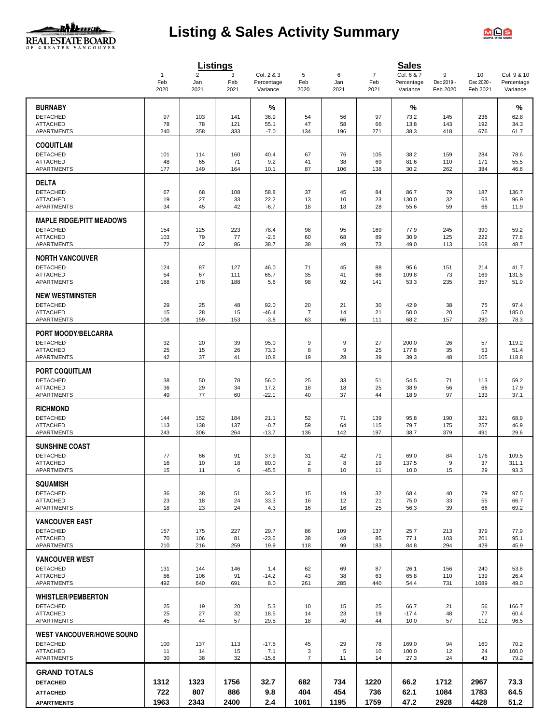

# **Listing & Sales Activity Summary**



|                                                    |                     |                       | <b>Listings</b> |                          |                      |           |                       | <b>Sales</b>             |                                |                  |                           |
|----------------------------------------------------|---------------------|-----------------------|-----------------|--------------------------|----------------------|-----------|-----------------------|--------------------------|--------------------------------|------------------|---------------------------|
|                                                    | $\mathbf{1}$<br>Feb | $\overline{2}$<br>Jan | 3<br>Feb        | Col. 2 & 3<br>Percentage | 5<br>Feb             | 6<br>Jan  | $\overline{7}$<br>Feb | Col. 6 & 7<br>Percentage | $\boldsymbol{9}$<br>Dec 2019 - | 10<br>Dec 2020 - | Col. 9 & 10<br>Percentage |
|                                                    | 2020                | 2021                  | 2021            | Variance                 | 2020                 | 2021      | 2021                  | Variance                 | Feb 2020                       | Feb 2021         | Variance                  |
| <b>BURNABY</b>                                     |                     |                       |                 | %                        |                      |           |                       | %                        |                                |                  | %                         |
| <b>DETACHED</b>                                    | 97                  | 103                   | 141             | 36.9                     | 54                   | 56        | 97                    | 73.2                     | 145                            | 236              | 62.8                      |
| <b>ATTACHED</b>                                    | 78                  | 78                    | 121             | 55.1                     | 47                   | 58        | 66                    | 13.8                     | 143                            | 192              | 34.3                      |
| APARTMENTS                                         | 240                 | 358                   | 333             | $-7.0$                   | 134                  | 196       | 271                   | 38.3                     | 418                            | 676              | 61.7                      |
| <b>COQUITLAM</b>                                   |                     |                       |                 |                          |                      |           |                       |                          |                                |                  |                           |
| <b>DETACHED</b>                                    | 101                 | 114                   | 160             | 40.4                     | 67                   | 76        | 105                   | 38.2                     | 159                            | 284              | 78.6                      |
| <b>ATTACHED</b><br><b>APARTMENTS</b>               | 48<br>177           | 65<br>149             | 71<br>164       | 9.2<br>10.1              | 41<br>87             | 38<br>106 | 69<br>138             | 81.6<br>30.2             | 110<br>262                     | 171<br>384       | 55.5<br>46.6              |
|                                                    |                     |                       |                 |                          |                      |           |                       |                          |                                |                  |                           |
| <b>DELTA</b>                                       |                     |                       |                 |                          |                      |           |                       |                          |                                |                  |                           |
| <b>DETACHED</b>                                    | 67                  | 68                    | 108             | 58.8                     | 37                   | 45        | 84                    | 86.7                     | 79                             | 187              | 136.7                     |
| <b>ATTACHED</b><br><b>APARTMENTS</b>               | 19<br>34            | 27<br>45              | 33<br>42        | 22.2<br>$-6.7$           | 13<br>18             | 10<br>18  | 23<br>28              | 130.0<br>55.6            | 32<br>59                       | 63<br>66         | 96.9<br>11.9              |
|                                                    |                     |                       |                 |                          |                      |           |                       |                          |                                |                  |                           |
| <b>MAPLE RIDGE/PITT MEADOWS</b><br><b>DETACHED</b> |                     |                       | 223             |                          |                      | 95        |                       |                          |                                | 390              | 59.2                      |
| <b>ATTACHED</b>                                    | 154<br>103          | 125<br>79             | 77              | 78.4<br>$-2.5$           | 98<br>60             | 68        | 169<br>89             | 77.9<br>30.9             | 245<br>125                     | 222              | 77.6                      |
| APARTMENTS                                         | 72                  | 62                    | 86              | 38.7                     | 38                   | 49        | 73                    | 49.0                     | 113                            | 168              | 48.7                      |
| <b>NORTH VANCOUVER</b>                             |                     |                       |                 |                          |                      |           |                       |                          |                                |                  |                           |
| <b>DETACHED</b>                                    | 124                 | 87                    | 127             | 46.0                     | 71                   | 45        | 88                    | 95.6                     | 151                            | 214              | 41.7                      |
| <b>ATTACHED</b>                                    | 54                  | 67                    | 111             | 65.7                     | 35                   | 41        | 86                    | 109.8                    | 73                             | 169              | 131.5                     |
| <b>APARTMENTS</b>                                  | 188                 | 178                   | 188             | 5.6                      | 98                   | 92        | 141                   | 53.3                     | 235                            | 357              | 51.9                      |
| <b>NEW WESTMINSTER</b>                             |                     |                       |                 |                          |                      |           |                       |                          |                                |                  |                           |
| <b>DETACHED</b>                                    | 29                  | 25                    | 48              | 92.0                     | 20                   | 21        | 30                    | 42.9                     | 38                             | 75               | 97.4                      |
| <b>ATTACHED</b><br>APARTMENTS                      | 15<br>108           | 28<br>159             | 15<br>153       | $-46.4$<br>$-3.8$        | $\overline{7}$<br>63 | 14<br>66  | 21<br>111             | 50.0<br>68.2             | 20<br>157                      | 57<br>280        | 185.0<br>78.3             |
|                                                    |                     |                       |                 |                          |                      |           |                       |                          |                                |                  |                           |
| PORT MOODY/BELCARRA                                |                     |                       |                 |                          |                      |           |                       |                          |                                |                  |                           |
| <b>DETACHED</b><br><b>ATTACHED</b>                 | 32<br>25            | 20<br>15              | 39<br>26        | 95.0<br>73.3             | 9<br>8               | 9<br>9    | 27<br>25              | 200.0<br>177.8           | 26<br>35                       | 57<br>53         | 119.2<br>51.4             |
| <b>APARTMENTS</b>                                  | 42                  | 37                    | 41              | 10.8                     | 19                   | 28        | 39                    | 39.3                     | 48                             | 105              | 118.8                     |
|                                                    |                     |                       |                 |                          |                      |           |                       |                          |                                |                  |                           |
| <b>PORT COQUITLAM</b><br><b>DETACHED</b>           | 38                  | 50                    | 78              | 56.0                     | 25                   | 33        | 51                    | 54.5                     | 71                             | 113              | 59.2                      |
| <b>ATTACHED</b>                                    | 36                  | 29                    | 34              | 17.2                     | 18                   | 18        | 25                    | 38.9                     | 56                             | 66               | 17.9                      |
| APARTMENTS                                         | 49                  | 77                    | 60              | $-22.1$                  | 40                   | 37        | 44                    | 18.9                     | 97                             | 133              | 37.1                      |
| <b>RICHMOND</b>                                    |                     |                       |                 |                          |                      |           |                       |                          |                                |                  |                           |
| <b>DETACHED</b>                                    | 144                 | 152                   | 184             | 21.1                     | 52                   | 71        | 139                   | 95.8                     | 190                            | 321              | 68.9                      |
| <b>ATTACHED</b>                                    | 113                 | 138                   | 137             | $-0.7$                   | 59                   | 64        | 115                   | 79.7                     | 175                            | 257              | 46.9                      |
| APARTMENTS                                         | 243                 | 306                   | 264             | $-13.7$                  | 136                  | 142       | 197                   | 38.7                     | 379                            | 491              | 29.6                      |
| <b>SUNSHINE COAST</b>                              |                     |                       |                 |                          |                      |           |                       |                          |                                |                  |                           |
| <b>DETACHED</b><br><b>ATTACHED</b>                 | 77<br>16            | 66<br>10              | 91<br>18        | 37.9<br>80.0             | 31<br>$\overline{2}$ | 42<br>8   | 71<br>19              | 69.0                     | 84<br>9                        | 176<br>37        | 109.5                     |
| <b>APARTMENTS</b>                                  | 15                  | 11                    | 6               | $-45.5$                  | 8                    | 10        | 11                    | 137.5<br>10.0            | 15                             | 29               | 311.1<br>93.3             |
|                                                    |                     |                       |                 |                          |                      |           |                       |                          |                                |                  |                           |
| <b>SQUAMISH</b><br><b>DETACHED</b>                 | 36                  | 38                    | 51              | 34.2                     | 15                   | 19        | 32                    | 68.4                     | 40                             | 79               | 97.5                      |
| <b>ATTACHED</b>                                    | 23                  | 18                    | 24              | 33.3                     | 16                   | 12        | 21                    | 75.0                     | 33                             | 55               | 66.7                      |
| APARTMENTS                                         | 18                  | 23                    | 24              | 4.3                      | 16                   | 16        | 25                    | 56.3                     | 39                             | 66               | 69.2                      |
| <b>VANCOUVER EAST</b>                              |                     |                       |                 |                          |                      |           |                       |                          |                                |                  |                           |
| DETACHED                                           | 157                 | 175                   | 227             | 29.7                     | 86                   | 109       | 137                   | 25.7                     | 213                            | 379              | 77.9                      |
| <b>ATTACHED</b>                                    | 70                  | 106                   | 81              | $-23.6$                  | 38                   | 48        | 85                    | 77.1                     | 103                            | 201              | 95.1                      |
| <b>APARTMENTS</b>                                  | 210                 | 216                   | 259             | 19.9                     | 118                  | 99        | 183                   | 84.8                     | 294                            | 429              | 45.9                      |
| <b>VANCOUVER WEST</b>                              |                     |                       |                 |                          |                      |           |                       |                          |                                |                  |                           |
| <b>DETACHED</b>                                    | 131                 | 144                   | 146             | 1.4                      | 62                   | 69        | 87                    | 26.1                     | 156                            | 240              | 53.8                      |
| <b>ATTACHED</b><br>APARTMENTS                      | 86<br>492           | 106<br>640            | 91<br>691       | $-14.2$<br>8.0           | 43<br>261            | 38<br>285 | 63<br>440             | 65.8<br>54.4             | 110<br>731                     | 139<br>1089      | 26.4<br>49.0              |
|                                                    |                     |                       |                 |                          |                      |           |                       |                          |                                |                  |                           |
| <b>WHISTLER/PEMBERTON</b>                          |                     |                       |                 |                          |                      |           |                       |                          |                                |                  |                           |
| <b>DETACHED</b><br><b>ATTACHED</b>                 | 25<br>25            | 19<br>27              | 20<br>32        | 5.3<br>18.5              | 10<br>14             | 15<br>23  | 25<br>19              | 66.7<br>$-17.4$          | 21<br>48                       | 56<br>77         | 166.7<br>60.4             |
| APARTMENTS                                         | 45                  | 44                    | 57              | 29.5                     | 18                   | 40        | 44                    | 10.0                     | 57                             | 112              | 96.5                      |
| <b>WEST VANCOUVER/HOWE SOUND</b>                   |                     |                       |                 |                          |                      |           |                       |                          |                                |                  |                           |
| <b>DETACHED</b>                                    | 100                 | 137                   | 113             | $-17.5$                  | 45                   | 29        | 78                    | 169.0                    | 94                             | 160              | 70.2                      |
| <b>ATTACHED</b>                                    | 11                  | 14                    | 15              | 7.1                      | 3                    | 5         | 10                    | 100.0                    | 12                             | 24               | 100.0                     |
| APARTMENTS                                         | 30                  | 38                    | 32              | $-15.8$                  | $\overline{7}$       | 11        | 14                    | 27.3                     | 24                             | 43               | 79.2                      |
| <b>GRAND TOTALS</b>                                |                     |                       |                 |                          |                      |           |                       |                          |                                |                  |                           |
| <b>DETACHED</b>                                    | 1312                | 1323                  | 1756            | 32.7                     | 682                  | 734       | 1220                  | 66.2                     | 1712                           | 2967             | 73.3                      |
| <b>ATTACHED</b>                                    | 722                 | 807                   | 886             | 9.8                      | 404                  | 454       | 736                   | 62.1                     | 1084                           | 1783             | 64.5                      |
| <b>APARTMENTS</b>                                  | 1963                | 2343                  | 2400            | 2.4                      | 1061                 | 1195      | 1759                  | 47.2                     | 2928                           | 4428             | 51.2                      |